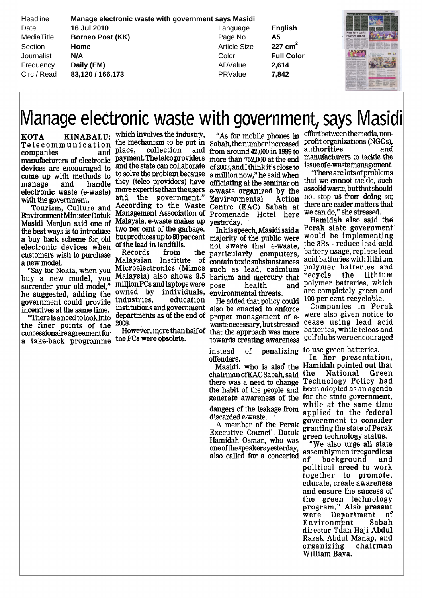| Headline    | Manage electronic waste with government says Masidi |                     |                   |                  |
|-------------|-----------------------------------------------------|---------------------|-------------------|------------------|
| Date        | 16 Jul 2010                                         | Language            | English           |                  |
| MediaTitle  | <b>Borneo Post (KK)</b>                             | Page No             | Α5                | recovery centres |
| Section     | Home                                                | <b>Article Size</b> | 227 $cm2$         |                  |
| Journalist  | N/A                                                 | Color               | <b>Full Color</b> |                  |
| Frequency   | Daily (EM)                                          | ADValue             | 2.614             |                  |
| Circ / Read | 83,120 / 166,173                                    | PRValue             | 7.842             |                  |
|             |                                                     |                     |                   |                  |

## Manage electronic waste with government, says Masidi

KOTA KINABALU Telecommunication the mechanism to be pu<sup>t</sup> in companies and manufacturers of electronic devices are encouraged to come up with methods to manage and handle electronic waste (e-waste) with the governmen<sup>t</sup>

Tourism, Culture and EnvironmentMmisterDatuk Masidi Manjun said one of the best ways is to introduce <sup>a</sup> buy back scheme for old electronic devices when customers wish to purchase <sup>a</sup> new model

"Say for Nokia, when you buy a new model, you surrender your old model he suggested, adding the governmen<sup>t</sup> could provide incentives at the same time.

There is <sup>a</sup> needtolookInto the finer points of the concessionaireagreementfor <sup>a</sup> take back programme

KINABALU: which involves the industry, place, collection and payment. The telcoproviders and the state can collaborate to solve the problem because they (telco providers) have moreexpertisethanthe users and the governmen<sup>t</sup> According to the Waste Centre EAC Sabah at Management Association of Promenade Hotel here Malaysia, e-waste makes up two per cent of the garbage but produces up to 80 per cent majority of the public were of the lead in landfills.

> Records from the Malaysian Institute of Microelectronics (Mimos Malaysia) also shows 8.5 barium and mercury that million PCs and laptops were pose owned by individuals industries, education institutions and governmen<sup>t</sup> departments as of the end of 2008

the PCs were obsolete

As for mobile phones in Sabah, the number increased from around 42 000 in 1999 to more than 752 000 at the end of 2008, and I think it's close to a million now," he said when officiating at the seminar on <sup>e</sup> waste organized by the Environmental Action yesterday

In his speech, Masidi said a not aware that <sup>e</sup> waste particularly computers contain toxic substanstances such as lead cadmium polymer batteries and health environmental threats

However morethanhalfof that the approach was more He added that policy could also be enacted to enforce proper managemen<sup>t</sup> of <sup>e</sup> wastenecessary, but stressed towards creating awareness

> instead of penalizing offenders

> chairman of EAC Sabah, said there was <sup>a</sup> need to change the habit of the people and generate awareness of the

dangers of the leakage from discarded e-waste.

A member of the Perak Executive Council. Datuk Hamidah Osman, who was oneofthe speakersyesterday also called for <sup>a</sup> concerted

effortbetweenthemedia non profit organizations NGOs authorities and manufacturers to tackle the issue ofe wastemanagement

There are lots ofproblems that we cannot tackle, such assolid waste, but that should not stop us from doing so there are easier matters that we can do," she stressed.

Hamidah also said the Perak state governmen<sup>t</sup> would be implementing the 3Rs reduce lead acid battery usage, replace lead acid batteries with lithium recycle the lithium and polymer batteries, which are completely green and 100 per cent recyclable

> Companies in Perak were also given notice to cease using lead acid batteries, while telcos and golfclubs were encouraged

to use green batteries

Masidi, who is also the Hamidah pointed out that In her presentation, the National Green Technology Policy had been adopted as an agenda for the state governmen<sup>t</sup> while at the same time applied to the federal governmen<sup>t</sup> to consider granting the state of Perak green technology status

We also urge all state assemblymen irregardless of background and political creed to work together to promote educate, create awareness and ensure the success of the green technology program." Also present were Department of Environmjent Sabah director Tuan Haji Abdul Razak Abdul Manap, and organizing chairman William Baya